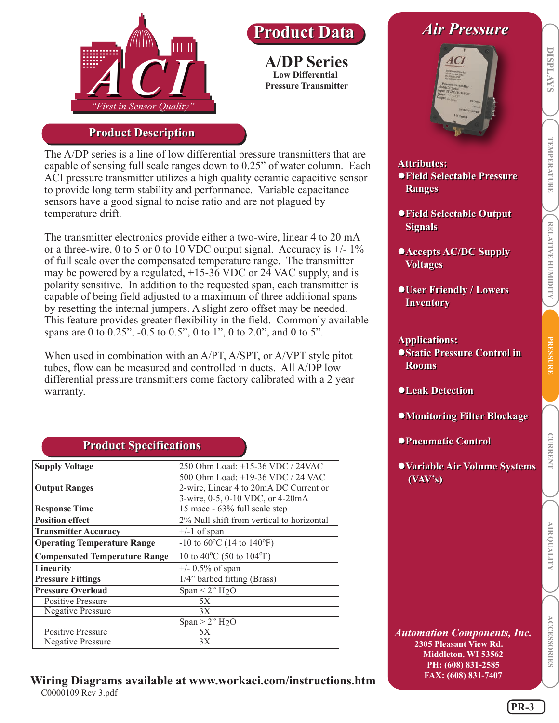

## **Product Description**

The A/DP series is a line of low differential pressure transmitters that are capable of sensing full scale ranges down to 0.25" of water column. Each ACI pressure transmitter utilizes a high quality ceramic capacitive sensor to provide long term stability and performance. Variable capacitance sensors have a good signal to noise ratio and are not plagued by temperature drift.

**A/DP Series Low Differential Pressure Transmitter**

**Product Data Product Data**

The transmitter electronics provide either a two-wire, linear 4 to 20 mA or a three-wire, 0 to 5 or 0 to 10 VDC output signal. Accuracy is  $+/-1\%$ of full scale over the compensated temperature range. The transmitter may be powered by a regulated, +15-36 VDC or 24 VAC supply, and is polarity sensitive. In addition to the requested span, each transmitter is capable of being field adjusted to a maximum of three additional spans by resetting the internal jumpers. A slight zero offset may be needed. This feature provides greater flexibility in the field. Commonly available spans are 0 to 0.25", -0.5 to 0.5", 0 to 1", 0 to 2.0", and 0 to 5".

When used in combination with an A/PT, A/SPT, or A/VPT style pitot tubes, flow can be measured and controlled in ducts. All A/DP low differential pressure transmitters come factory calibrated with a 2 year warranty.

| <b>Supply Voltage</b>                | 250 Ohm Load: +15-36 VDC / 24VAC                      |  |  |  |  |
|--------------------------------------|-------------------------------------------------------|--|--|--|--|
|                                      | 500 Ohm Load: +19-36 VDC / 24 VAC                     |  |  |  |  |
| <b>Output Ranges</b>                 | 2-wire, Linear 4 to 20mA DC Current or                |  |  |  |  |
|                                      | 3-wire, 0-5, 0-10 VDC, or 4-20mA                      |  |  |  |  |
| <b>Response Time</b>                 | 15 msec - 63% full scale step                         |  |  |  |  |
| <b>Position effect</b>               | 2% Null shift from vertical to horizontal             |  |  |  |  |
| <b>Transmitter Accuracy</b>          | $+/-1$ of span                                        |  |  |  |  |
| <b>Operating Temperature Range</b>   | $-10$ to 60 <sup>o</sup> C (14 to 140 <sup>o</sup> F) |  |  |  |  |
| <b>Compensated Temperature Range</b> | 10 to 40 <sup>o</sup> C (50 to 104 <sup>o</sup> F)    |  |  |  |  |
| <b>Linearity</b>                     | $+/- 0.5\%$ of span                                   |  |  |  |  |
| <b>Pressure Fittings</b>             | 1/4" barbed fitting (Brass)                           |  |  |  |  |
| <b>Pressure Overload</b>             | Span < 2" $H_2O$                                      |  |  |  |  |
| <b>Positive Pressure</b>             | 5X                                                    |  |  |  |  |
| <b>Negative Pressure</b>             | 3X                                                    |  |  |  |  |
|                                      | Span $>$ 2" H <sub>2</sub> O                          |  |  |  |  |
| <b>Positive Pressure</b>             | 5Х                                                    |  |  |  |  |
| <b>Negative Pressure</b>             | 3X                                                    |  |  |  |  |

## **Product Specifications Product Specifications**

#### **Wiring Diagrams available at www.workaci.com/instructions.htm**  C0000109 Rev 3.pdf

# *Air Pressure Air Pressure*



## **Attributes: Attributes: Field Selectable Pressure Field Selectable Pressure Ranges Ranges**

- **Field Selectable Output Field Selectable Output Signals Signals**
- **Accepts AC/DC Supply Accepts AC/DC Supply Voltages Voltages**
- **User Friendly / Lowers User Friendly / Lowers Inventory Inventory**

#### **Applications: Applications:**

- **Static Pressure Control in Static Pressure Control in Rooms Rooms**
- **Leak Detection Leak Detection**
- **Monitoring Filter Blockage Monitoring Filter Blockage**
- **Pneumatic Control Pneumatic Control**
- **Variable Air Volume Systems Variable Air Volume Systems (VAV's) (VAV's)**

*Automation Components, Inc.* **2305 Pleasant View Rd. Middleton, WI 53562 PH: (608) 831-2585 FAX: (608) 831-7407**

**PRESSURE**

**PRESSURE** 

**DISPLAYS**

**DISPLAYS** 

**RELATIVE HUMIDITY TEMPERATURE**

RELATIVE HUMIDITY

**TEMPERATURE**